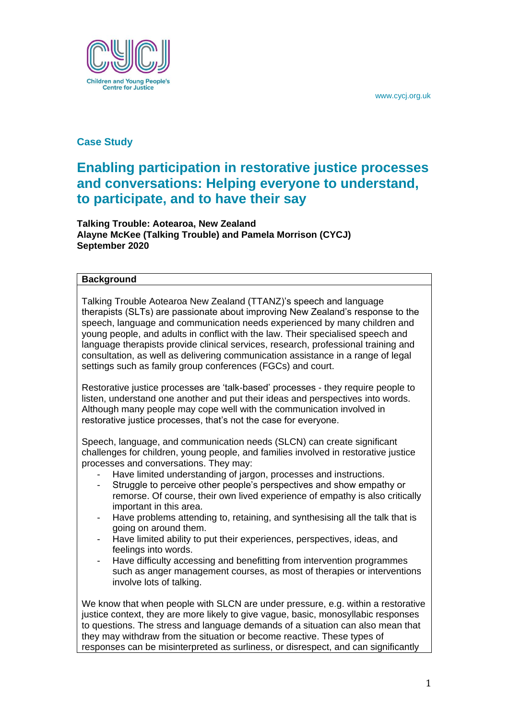

# **Case Study**

# **Enabling participation in restorative justice processes and conversations: Helping everyone to understand, to participate, and to have their say**

**Talking Trouble: Aotearoa, New Zealand Alayne McKee (Talking Trouble) and Pamela Morrison (CYCJ) September 2020**

## **Background**

Talking Trouble Aotearoa New Zealand (TTANZ)'s speech and language therapists (SLTs) are passionate about improving New Zealand's response to the speech, language and communication needs experienced by many children and young people, and adults in conflict with the law. Their specialised speech and language therapists provide clinical services, research, professional training and consultation, as well as delivering communication assistance in a range of legal settings such as family group conferences (FGCs) and court.

Restorative justice processes are 'talk-based' processes - they require people to listen, understand one another and put their ideas and perspectives into words. Although many people may cope well with the communication involved in restorative justice processes, that's not the case for everyone.

Speech, language, and communication needs (SLCN) can create significant challenges for children, young people, and families involved in restorative justice processes and conversations. They may:

- Have limited understanding of jargon, processes and instructions.
- Struggle to perceive other people's perspectives and show empathy or remorse. Of course, their own lived experience of empathy is also critically important in this area.
- Have problems attending to, retaining, and synthesising all the talk that is going on around them.
- Have limited ability to put their experiences, perspectives, ideas, and feelings into words.
- Have difficulty accessing and benefitting from intervention programmes such as anger management courses, as most of therapies or interventions involve lots of talking.

We know that when people with SLCN are under pressure, e.g. within a restorative justice context, they are more likely to give vague, basic, monosyllabic responses to questions. The stress and language demands of a situation can also mean that they may withdraw from the situation or become reactive. These types of responses can be misinterpreted as surliness, or disrespect, and can significantly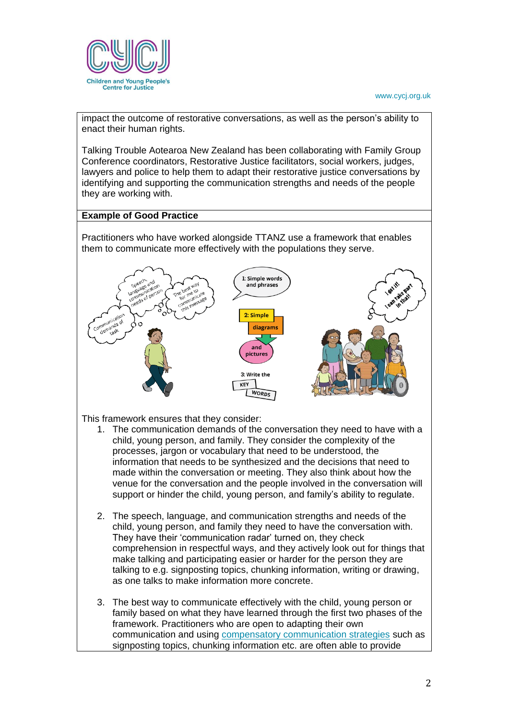

impact the outcome of restorative conversations, as well as the person's ability to enact their human rights.

Talking Trouble Aotearoa New Zealand has been collaborating with Family Group Conference coordinators, Restorative Justice facilitators, social workers, judges, lawyers and police to help them to adapt their restorative justice conversations by identifying and supporting the communication strengths and needs of the people they are working with.

# **Example of Good Practice**

Practitioners who have worked alongside TTANZ use a framework that enables them to communicate more effectively with the populations they serve.



This framework ensures that they consider:

- 1. The communication demands of the conversation they need to have with a child, young person, and family. They consider the complexity of the processes, jargon or vocabulary that need to be understood, the information that needs to be synthesized and the decisions that need to made within the conversation or meeting. They also think about how the venue for the conversation and the people involved in the conversation will support or hinder the child, young person, and family's ability to regulate.
- 2. The speech, language, and communication strengths and needs of the child, young person, and family they need to have the conversation with. They have their 'communication radar' turned on, they check comprehension in respectful ways, and they actively look out for things that make talking and participating easier or harder for the person they are talking to e.g. signposting topics, chunking information, writing or drawing, as one talks to make information more concrete.
- 3. The best way to communicate effectively with the child, young person or family based on what they have learned through the first two phases of the framework. Practitioners who are open to adapting their own communication and using [compensatory communication strategies](https://talkingtroublenz.org/wp-content/uploads/2017/07/A6-side-by-side-cards-no-bleed.pdf) such as signposting topics, chunking information etc. are often able to provide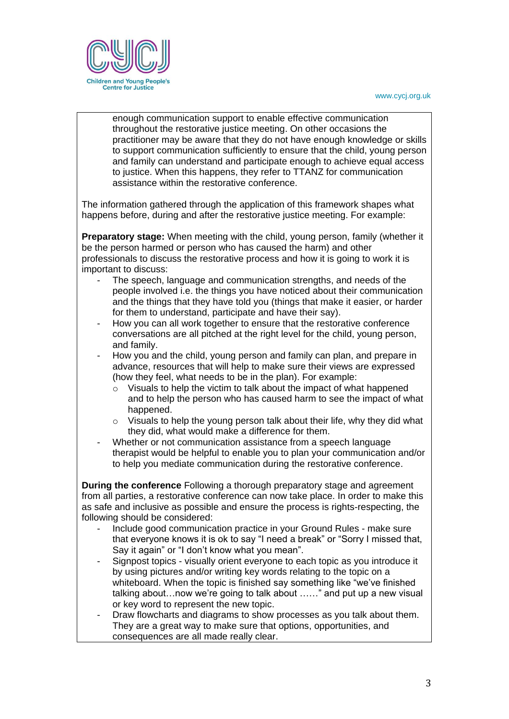

enough communication support to enable effective communication throughout the restorative justice meeting. On other occasions the practitioner may be aware that they do not have enough knowledge or skills to support communication sufficiently to ensure that the child, young person and family can understand and participate enough to achieve equal access to justice. When this happens, they refer to TTANZ for communication assistance within the restorative conference.

The information gathered through the application of this framework shapes what happens before, during and after the restorative justice meeting. For example:

**Preparatory stage:** When meeting with the child, young person, family (whether it be the person harmed or person who has caused the harm) and other professionals to discuss the restorative process and how it is going to work it is important to discuss:

- The speech, language and communication strengths, and needs of the people involved i.e. the things you have noticed about their communication and the things that they have told you (things that make it easier, or harder for them to understand, participate and have their say).
- How you can all work together to ensure that the restorative conference conversations are all pitched at the right level for the child, young person, and family.
- How you and the child, young person and family can plan, and prepare in advance, resources that will help to make sure their views are expressed (how they feel, what needs to be in the plan). For example:
	- o Visuals to help the victim to talk about the impact of what happened and to help the person who has caused harm to see the impact of what happened.
	- $\circ$  Visuals to help the young person talk about their life, why they did what they did, what would make a difference for them.
- Whether or not communication assistance from a speech language therapist would be helpful to enable you to plan your communication and/or to help you mediate communication during the restorative conference.

**During the conference** Following a thorough preparatory stage and agreement from all parties, a restorative conference can now take place. In order to make this as safe and inclusive as possible and ensure the process is rights-respecting, the following should be considered:

- Include good communication practice in your Ground Rules make sure that everyone knows it is ok to say "I need a break" or "Sorry I missed that, Say it again" or "I don't know what you mean".
- Signpost topics visually orient everyone to each topic as you introduce it by using pictures and/or writing key words relating to the topic on a whiteboard. When the topic is finished say something like "we've finished talking about…now we're going to talk about ……" and put up a new visual or key word to represent the new topic.
- Draw flowcharts and diagrams to show processes as you talk about them. They are a great way to make sure that options, opportunities, and consequences are all made really clear.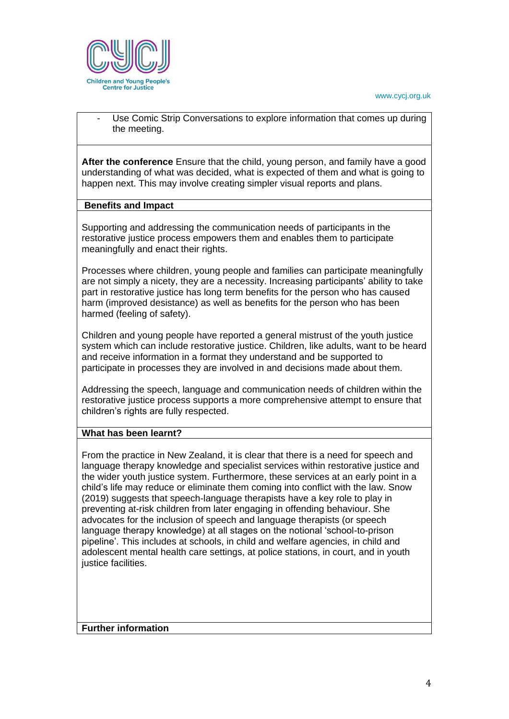

Use Comic Strip Conversations to explore information that comes up during the meeting.

**After the conference** Ensure that the child, young person, and family have a good understanding of what was decided, what is expected of them and what is going to happen next. This may involve creating simpler visual reports and plans.

### **Benefits and Impact**

Supporting and addressing the communication needs of participants in the restorative justice process empowers them and enables them to participate meaningfully and enact their rights.

Processes where children, young people and families can participate meaningfully are not simply a nicety, they are a necessity. Increasing participants' ability to take part in restorative justice has long term benefits for the person who has caused harm (improved desistance) as well as benefits for the person who has been harmed (feeling of safety).

Children and young people have reported a general mistrust of the youth justice system which can include restorative justice. Children, like adults, want to be heard and receive information in a format they understand and be supported to participate in processes they are involved in and decisions made about them.

Addressing the speech, language and communication needs of children within the restorative justice process supports a more comprehensive attempt to ensure that children's rights are fully respected.

## **What has been learnt?**

From the practice in New Zealand, it is clear that there is a need for speech and language therapy knowledge and specialist services within restorative justice and the wider youth justice system. Furthermore, these services at an early point in a child's life may reduce or eliminate them coming into conflict with the law. Snow (2019) suggests that speech-language therapists have a key role to play in preventing at-risk children from later engaging in offending behaviour. She advocates for the inclusion of speech and language therapists (or speech language therapy knowledge) at all stages on the notional 'school-to-prison pipeline'. This includes at schools, in child and welfare agencies, in child and adolescent mental health care settings, at police stations, in court, and in youth justice facilities.

**Further information**